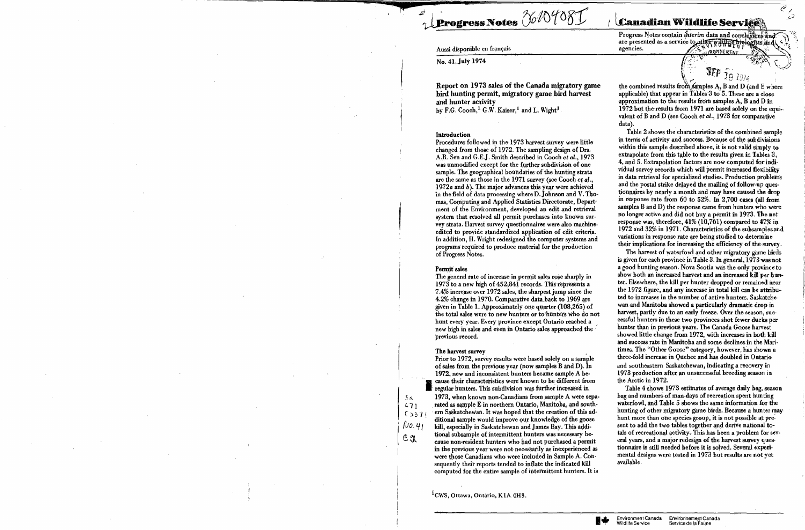## Aussi disponible en français

No. 41, July 1974

Report on 1973 sales of the Canada migratory game bird hunting permit, migratory game bird harvest and hunter activity by F.G. Cooch,<sup>1</sup> G.W. Kaiser,<sup>1</sup> and L. Wight<sup>1</sup>

Progress Notes 36/04081

# **Introduction**

Procedures followed in the 1973 harvest survey were little changed from those of 1972. The sampling design of Drs. A.R. Sen and G.E.J. Smith described in Cooch et al., 1973 was unmodified except for the further subdivision of one sample. The geographical boundaries of the hunting strata are the same as those in the 1971 survey (see Cooch et al., 1972a and b). The major advances this year were achieved in the field of data processing where D. Johnson and V. Thomas, Computing and Applied Statistics Directorate, Department of the Environment, developed an edit and retrieval system that resolved all permit purchases into known survey strata. Harvest survey questionnaires were also machineedited to provide standardized application of edit criteria. In addition, H. Wright redesigned the computer systems and programs required to produce material for the production of Progress Notes.

## Permit sales

The general rate of increase in permit sales rose sharply in 1973 to a new high of 452,841 records. This represents a 7.4% increase over 1972 sales, the sharpest jump since the 4.2% change in 1970. Comparative data back to 1969 are given in Table 1. Approximately one quarter (108,265) of the total sales were to new hunters or to hunters who do not hunt every year. Every province except Ontario reached a new high in sales and even in Ontario sales approached the previous record.

### The harvest survey

 $5<sub>K</sub>$ 

 $471$ 

 $C3371$ 

 $N$ o. $4j$ 

 $c_{\mathfrak{A}}$ 

Prior to 1972, survey results were based solely on a sample of sales from the previous year (now samples B and D). In 1972, new and inconsistent hunters became sample A because their characteristics were known to be different from regular hunters. This subdivision was further increased in 1973, when known non-Canadians from sample A were separated as sample E in northern Ontario, Manitoba, and southern Saskatchewan. It was hoped that the creation of this additional sample would improve our knowledge of the goose kill, especially in Saskatchewan and James Bay. This additional subsample of intermittent hunters was necessary because non-resident hunters who had not purchased a permit in the previous year were not necessarily as inexperienced as were those Canadians who were included in Sample A. Consequently their reports tended to inflate the indicated kill computed for the entire sample of intermittent hunters. It is

<sup>1</sup> CWS, Ottawa, Ontario, K1A 0H3.

**Canadian Wildlife Services** 

Progress Notes contain *interim* data and conclusions and are presented as a service to other wildline hippersis and agencies. IRONNEMENT

 $\overline{\mathcal{C}_{\tilde{D}}}$ 

 $359$   $_{18}$   $_{1974}$ the combined results from samples A, B and D (and E where applicable) that appear in Tables 3 to 5. These are a close approximation to the results from samples A, B and D in 1972 but the results from 1971 are based solely on the equivalent of B and D (see Cooch et al., 1973 for comparative data).

Table 2 shows the characteristics of the combined sample in terms of activity and success. Because of the subdivisions within this sample described above, it is not valid simply to extrapolate from this table to the results given in Tables 3, 4, and 5. Extrapolation factors are now computed for individual survey records which will permit increased flexibility in data retrieval for specialized studies. Production problems and the postal strike delayed the mailing of follow-up questionnaires by nearly a month and may have caused the drop in response rate from 60 to 52%. In  $2,700$  cases (all from samples B and D) the response came from hunters who were no longer active and did not buy a permit in 1973. The net response was, therefore, 41% (10,761) compared to 47% in 1972 and 32% in 1971. Characteristics of the subsamples and variations in response rate are being studied to determine their implications for increasing the efficiency of the survey.

The harvest of waterfowl and other migratory game birds is given for each province in Table 3. In general, 1973 was not a good hunting season. Nova Scotia was the only province to show both an increased harvest and an increased kill per hunter. Elsewhere, the kill per hunter dropped or remained near the 1972 figure, and any increase in total kill can be attributed to increases in the number of active hunters. Saskatchewan and Manitoba showed a particularly dramatic drop in harvest, partly due to an early freeze. Over the season, successful hunters in these two provinces shot fewer ducks per hunter than in previous years. The Canada Goose harvest showed little change from 1972, with increases in both kill and success rate in Manitoba and some declines in the Maritimes. The "Other Goose" category, however, has shown a three-fold increase in Quebec and has doubled in Ontario and southeastern Saskatchewan, indicating a recovery in 1973 production after an unsuccessful breeding season in the Arctic in 1972.

Table 4 shows 1973 estimates of average daily bag, season bag and numbers of man-days of recreation spent hunting waterfowl, and Table 5 shows the same information for the hunting of other migratory game birds. Because a hunter may hunt more than one species group, it is not possible at present to add the two tables together and derive national totals of recreational activity. This has been a problem for several years, and a major redesign of the harvest survey questionnaire is still needed before it is solved. Several experimental designs were tested in 1973 but results are not yet available.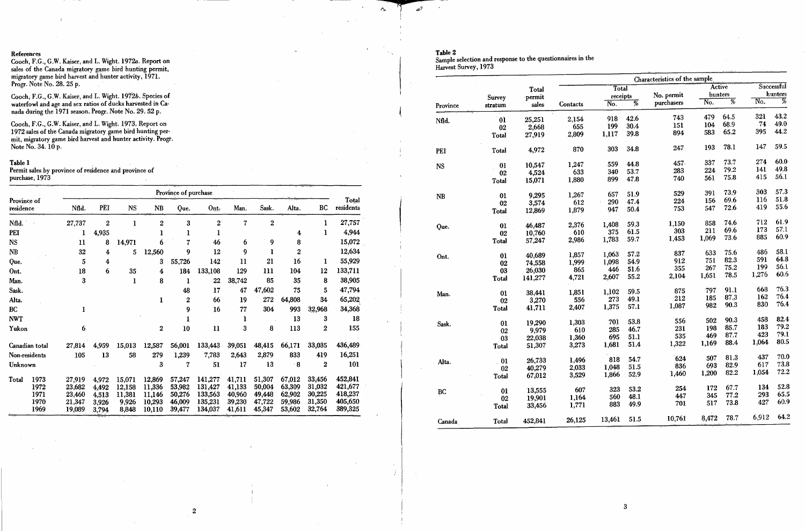## References

Cooch, F.G., G.W. Kaiser, and L. Wight. 1972a. Report on sales of the Canada migratory game bird hunting permit, migratory game bird harvest and hunter activity, 1971. Progr. Note No. 28, 25 p.

Cooch, F.G., G.W. Kaiser, and L. Wight. 1972b. Species of waterfowl and age and sex ratios of ducks harvested in Canada during the 1971 season. Progr. Note No. 29. 52 p.

Cooch, F.G., G.W. Kaiser, and L. Wight. 1973. Report on 1972 sales of the Canada migratory game bird hunting permit, migratory game bird harvest and hunter activity. Progr.<br>Note No. 34. 10 p.

# Table 1

Permit sales by province of residence and province of purchase, 1973

|                          |                | Province of purchase |                |                |                        |                         |                    |                  |                  |                  |                  |                    |  |
|--------------------------|----------------|----------------------|----------------|----------------|------------------------|-------------------------|--------------------|------------------|------------------|------------------|------------------|--------------------|--|
| Province of<br>residence |                | Nfld.                | PĒI            | <b>NS</b>      | $\mathbf{N}\mathbf{B}$ | Que.                    | Ont.               | Man.             | Sask.            | Alta.            | BC.              | Total<br>residents |  |
| Nfld.                    |                | 27,737               | $\overline{2}$ | ı              | $\bf{2}$               | 3                       | $\overline{2}$     | 7                | $\overline{2}$   |                  | ı                | 27,757             |  |
| PEI                      |                | 1                    | 4,935          |                | 1                      | 1                       |                    |                  |                  | 4                | 1                | 4,944              |  |
| <b>NS</b>                |                | $\mathbf{u}$         | 8              | 14,971         | 6                      | $\overline{\mathbf{z}}$ | 46                 | 6                | 9                | 8                |                  | 15,072             |  |
| <b>NB</b>                |                | 32                   | 4              | 5              | 12,560                 | 9                       | 12                 | 9                |                  | $\overline{2}$   |                  | 12,634             |  |
| Que.                     |                | 5                    | 4              |                | 3                      | 55,726                  | 142                | 11               | 21               | 16               | 1                | 55,929             |  |
| Ont.                     |                | 18                   | 6              | 35             | 4                      | 184                     | 133,108            | 129              | 111              | 104              | 12               | 133,711            |  |
| Man.                     |                | 3                    |                | ı              | 8                      | ı                       | 22                 | 38,742           | 85               | 35               | 8                | 38,905             |  |
| Sask.                    |                |                      |                |                |                        | 48                      | 17                 | 47               | 47,602           | 75               | 5                | 47,794             |  |
| Alta.                    |                |                      |                |                | $\mathbf 1$            | $\mathbf 2$             | 66                 | 19               | 272              | 64,808           | 34               | 65,202             |  |
| <b>BC</b>                |                | 1                    |                |                |                        | 9                       | 16                 | 77               | 304              | 993              | 32,968           | 34,368             |  |
| <b>NWT</b>               |                |                      |                |                |                        |                         |                    | ĺ                |                  | 13               | 3                | 18                 |  |
| Yukon                    |                | 6                    |                |                | $\overline{2}$         | 10                      | $\mathbf{11}$      | 3                | 8                | 113              | $\overline{2}$   | 155                |  |
|                          | Canadian total | 27,814               | 4,959          | 15,013         | 12,587                 | 56,001                  | 133,443            | 39,051           | 48,415           | 66,171           | 33,035           | 436,489            |  |
| Non-residents            |                | 105                  | 13             | 58             | 279                    | 1,239                   | 7,783              | 2,643            | 2,879            | 833              | 419              | 16,251             |  |
| Unknown                  |                |                      |                |                | 3                      | 7                       | 51                 | 17               | 13               | $\cdot$ 8        | 2                | 101                |  |
| Total                    | 1973           | 27,919               | 4,972          | 15,071         | 12,869                 | 57,247                  | 141,277            | 41,711           | 51,307           | 67,012           | 33,456           | 452,841            |  |
|                          | 1972           | 23,682               | 4,492          | 12,158         | 11,336                 | 53,982                  | 131,427            | 41,133           | 50,004           | 63,309           | 31,032           | 421,677            |  |
|                          | 1971           | 23,460               | 4,513          | 11.381         | 11,146                 | 50,276                  | 133,563            | 40,960           | 49,448           | 62,902           | 30,225           | 418,237            |  |
|                          | 1970<br>1969   | 21,347<br>19,089     | 3,926<br>3,794 | 9,926<br>8,848 | 10,293<br>10,110       | 46,009<br>39,477        | 135,231<br>134,037 | 39,230<br>41,611 | 47,722<br>45,347 | 59,986<br>53,602 | 31,350<br>32,764 | 405,650<br>389,325 |  |

# Table 2

 $\alpha_{\rm h}$ 

 $\mathcal{L}_{\mathcal{A}}$ 

لأهه

Sample selection and response to the questionnaires in the Harvest Survey, 1973

|           |                |         |          |          |                 | Characteristics of the sample |       |                 |                         |              |  |  |  |
|-----------|----------------|---------|----------|----------|-----------------|-------------------------------|-------|-----------------|-------------------------|--------------|--|--|--|
|           |                | Total   |          | Total    |                 |                               |       | Active          |                         | Successful   |  |  |  |
|           | Survey         | permit  |          | receipts |                 | No. permit                    |       | hunters         |                         | hunters      |  |  |  |
| Province  | stratum        | sales   | Contacts | No.      | $\overline{\%}$ | purchasers                    | No.   | $\overline{\%}$ | $\overline{\text{No.}}$ | Ķ,           |  |  |  |
| Nfld.     | $0\bar{1}$     | 25,251  | 2,154    | 918      | 42.6            | 743                           | 479   | 64.5            | 321                     | 43.2         |  |  |  |
|           | 02             | 2,668   | 655      | 199      | 30.4            | 151                           | 104   | 68.9            | 74                      | 49.0         |  |  |  |
|           | Total          | 27,919  | 2,809    | 1,117    | 39.8            | 894                           | 583   | 65.2            | 395                     | 44.2         |  |  |  |
| PEI       | Total          | 4,972   | 870      | 303      | 34.8            | 247                           | 193   | 78.1            | 147                     | 59.5         |  |  |  |
| <b>NS</b> | 01             | 10,547  | 1,247    | 559      | 44.8            | 457.                          | 337   | 73.7            | 274                     | 60.0         |  |  |  |
|           | 02             | 4,524   | 633      | 340      | 53.7            | 283                           | 224   | 79.2            | 14l                     | 49.8         |  |  |  |
|           | Total          | 15,071  | 1,880    | 899      | 47.8            | 740                           | 561   | 75.8            | 415                     | 56.1         |  |  |  |
| NB        | 01             | 9,295   | 1,267    | 657      | 51.9            | 529                           | 391   | 73.9            | 303                     | 57.3         |  |  |  |
|           | 02             | 3,574   | 612      | 290      | 47.4            | 224                           | 156   | 69.6            | 116                     | 51.8         |  |  |  |
|           | Total          | 12,869  | 1,879    | 947      | 50.4            | 753                           | 547   | 72.6            | 419                     | 55.6         |  |  |  |
| Que.      | 0 <sub>l</sub> | 46,487  | 2,376    | 1,408    | 59.3            | 1,150                         | 858   | 74.6            | 712                     | 61.9         |  |  |  |
|           | 02             | 10,760  | 610      | 375      | 61.5            | 303                           | 211   | 69.6            | 173                     | 57.1         |  |  |  |
|           | Total          | 57,247  | 2,986    | 1,783    | 59.7            | 1,453                         | 1,069 | 73.6            | 885                     | 60.9         |  |  |  |
| Ont.      | 01             | 40,689  | 1,857    | 1,063    | 57.2            | 837                           | 633   | 75.6            | 486                     | 58.1         |  |  |  |
|           | 02             | 74,558  | 1,999    | 1,098    | 54.9            | 912.                          | 751   | 82.3            | 591                     | 64.8         |  |  |  |
|           | 03             | 26,030  | 865      | 446      | 51.6            | 355                           | 267   | 75.2            | 199                     | 56.1<br>60.6 |  |  |  |
|           | Total          | 141,277 | 4,721    | 2,607    | 55.2            | 2,104                         | 1,651 | 78.5            | 1,276                   |              |  |  |  |
| Man.      | 01             | 38,441  | 1,851    | 1,102    | 59.5            | 875                           | 797   | 91.1            | 668                     | 76.3         |  |  |  |
|           | 02             | 3,270   | 556      | 273      | 49.1            | 212                           | 185   | 87.3            | 162                     | 76.4<br>76.4 |  |  |  |
|           | Total          | 41,711  | 2,407    | 1,375    | 57.1            | 1,087                         | 982   | 90.3            | 830                     |              |  |  |  |
| Sask.     | 01             | 19,290  | 1.303    | 701      | 53.8            | 556                           | 502   | 90.3            | 458                     | 82.4         |  |  |  |
|           | 02             | 9,979   | 610      | 285      | 46.7            | 231                           | 198   | 85.7            | 183                     | 79.2         |  |  |  |
|           | 03             | 22,038  | 1,360    | 695      | 51.1            | 535                           | 469   | 87.7            | 423                     | 79.1<br>80.5 |  |  |  |
|           | Total          | 51,307  | 3,273    | 1,681    | 51.4            | 1,322                         | 1,169 | 88.4            | 1,064                   |              |  |  |  |
| Alta.     | 01             | 26,733  | 1.496    | 818      | 54.7            | 624                           | 507   | 81.3            | 437                     | 70.0         |  |  |  |
|           | 02             | 40,279  | 2,033    | 1,048    | 51.5            | 836                           | 693   | 82.9            | 617                     | 73.8         |  |  |  |
|           | Total          | 67,012  | 3,529    | 1,866    | 52.9            | 1,460                         | 1,200 | 82.2            | 1,054                   | 72.2         |  |  |  |
| <b>BC</b> | 01             | 13,555  | 607      | 323      | 53.2            | 254                           | 172   | 67.7            | 134                     | 52.8         |  |  |  |
|           | 02             | 19,901  | 1,164    | 560      | 48.1            | 447                           | 345   | 77.2            | 293                     | 65.5<br>60.9 |  |  |  |
|           | Total          | 33,456  | 1,771    | 883      | 49.9            | 701                           | 517   | 73.8            | 427                     |              |  |  |  |
| Canada    | Total          | 452,841 | 26,125   | 13,461   | 51.5            | 10,761                        | 8,472 | 78.7            | 6,912                   | 64.2         |  |  |  |

 $\overline{2}$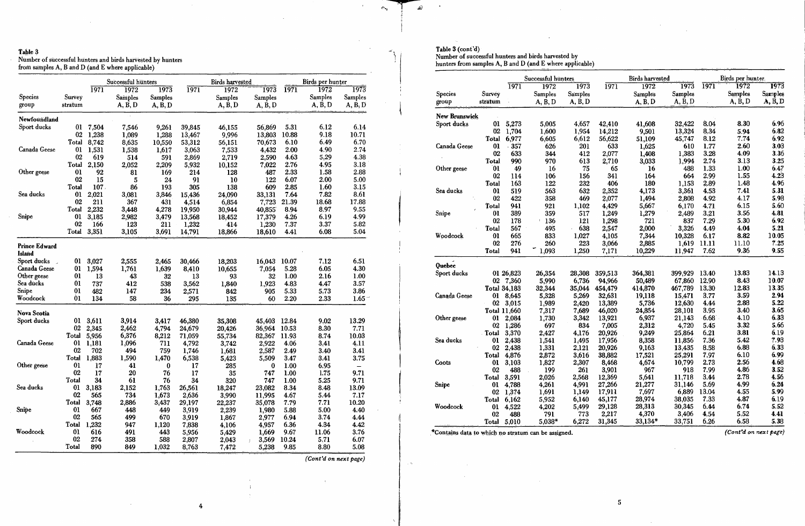Table 3<br>Number of successful hunters and birds harvested by hunters<br>from samples A, B and D (and E where applicable)

|                                          |                 |             | Successful hunters |                |                 | <b>Birds</b> harvested |                       |       | Birds per hunter |                          |
|------------------------------------------|-----------------|-------------|--------------------|----------------|-----------------|------------------------|-----------------------|-------|------------------|--------------------------|
|                                          |                 | <u>1971</u> | 1972               | 1973           | 1971            | 1972                   | 1973                  | 1971  | 1972             | 1973                     |
| <b>Species</b>                           | Survey          |             | Samples            | Samples        |                 | <b>Samples</b>         | <b>Samples</b>        |       | Samples          | <b>Samples</b>           |
| group                                    | stratum         |             | A, B, D            | A, B, D        |                 | A, B, D                | A, B, D               |       | A, B, D          | A, B, D                  |
| Newfoundland                             |                 |             |                    |                |                 |                        |                       |       |                  |                          |
| Sport ducks                              | 01              | 7,504       | 7,546              | 9,261          | 39,845          | 46,155                 | 56,869                | 5.31  | 6.12             | 6.14                     |
|                                          | 02              | 1,238       | 1,089              | 1,288          | 13,467          | 9,996                  | 13,803                | 10.88 | 9.18             | 10.71                    |
|                                          | Total           | 8,742       | 8,635              | 10,550         | 53,312          | 56,151                 | 70,673                | 6.10  | 6.49             | 6.70                     |
| Canada Geese                             | 0 <sub>1</sub>  | 1,531       | 1,538              | 1,617          | 3,063           | 7,533                  | 4,432                 | 2.00  | 4.90             | 2.74                     |
|                                          | 02              | 619         | 514                | 591            | 2,869           | 2,719                  | 2,590                 | 4.63  | 5.29             | 4.38                     |
|                                          | Total           | 2,150       | 2,052              | 2,209          | 5,932           | 10,152                 | 7,022                 | 2.76  | 4.95             | 3.18                     |
| Other geese                              | 0 <sub>l</sub>  | 92          | 81                 | 169            | 214             | 128                    | 487                   | 2.33  | 1.58             | 2.88                     |
|                                          | 02              | 15          | 5                  | 24             | 91              | 10                     | 122                   | 6.07  | 2.00             | 5.00                     |
|                                          | Total           | 107         | 86                 | 193            | 305             | 138                    | 609                   | 2.85  | 1.60             | 3.15                     |
| Sea ducks                                | 0 <sub>1</sub>  | 2,021       | 3,081              | 3,846          | 15,436          | 24,090                 | 33,131                | 7.64  | 7.82             | 8.61                     |
|                                          | 02              | 211         | 367                | 431            | 4,514           | 6,854                  | 7,723                 | 21.39 | 18.68            | 17.88                    |
|                                          | Total           | 2,232       | 3,448              | 4,278          | 19,950          | 30,944                 | 40,855                | 8.94  | 8,97             | 9.55                     |
| Snipe                                    | 01              | 3,185       | 2,982              | 3,479          | 13,568          | 18,452                 | 17,379                | 4.26  | 6.19             | 4.99                     |
|                                          | 02              | 166         | 123                | 211            | 1,232           | 414                    | 1,230                 | 7.37  | 3.37             | 5.82                     |
|                                          | Total           | 3,351       | 3,105              | 3,691          | 14,791          | 18,866                 | 18,610                | 4.41  | 6.08             | 5.04                     |
| <b>Prince Edward</b><br>Island           |                 |             |                    |                |                 |                        |                       |       |                  |                          |
| Sport ducks                              | 01              | 3,027       |                    |                |                 |                        | 16,043                | 10.07 | 7.12             | 6.51                     |
| $\overline{\phantom{a}}$<br>Canada Geese | 01              | 1,594       | 2,555<br>1,761     | 2,465<br>1,639 | 30,466<br>8,410 | 18,203<br>10,655       | 7,054                 | 5.28  | 6.05             | 4.30                     |
| Other geese                              | 01              | 13          | 43                 | 32             | 13              | 93                     | 32                    | 1.00  | 2.16             | 1.00                     |
| Sea dúcks                                | 01              | 737         | 412                | 538            | 3,562           | 1,840                  | 1,923                 | 4.83  | 4.47             | 3.57                     |
| Snipe                                    | 0 <sub>1</sub>  | 482         | 147                | 234            | 2,571           | 842                    | 905                   | 5.33  | 5.73             | 3.86                     |
| Woodcock                                 | $\overline{0}1$ | 134         | 58                 | 36             | 295             | 135                    | 60                    | 2.20  | 2.33             | $1.65 -$                 |
| Nova Scotia                              |                 |             |                    |                |                 |                        |                       |       |                  |                          |
| Sport ducks                              | 01              | 3,611       | 3,914              | 3,417          | 46,380          | 35,308                 | 45,403                | 12.84 | 9.02             | 13.29                    |
|                                          | 02              | 2,345       | 2,462              | 4,794          | 24,679          | 20,426                 | 36,964                | 10.53 | 8.30             | 7.71                     |
|                                          | Total           | 5,956       | 6,376              | 8,212          | 71,059          | 55,734                 | 82,367                | 11.93 | 8.74             | 10.03                    |
| Canada Geese                             | 01              | 1,181       | 1,096              | 711            | 4,792           | 3,742                  | 2,922                 | 4.06  | 3.41             | 4.11                     |
|                                          | 02              | 702         | 494                | 759            | 1,746           | 1,681                  | 2,587                 | 2.49  | 3.40             | 3.41                     |
|                                          | Total           | 1,883       | 1,590              | 1,470          | 6,538           | 5,423                  | 5,509                 | 3.47  | 3.41             | 3.75                     |
| Other geese                              | 0 <sub>l</sub>  | 17          | 41                 | $\bf{0}$       | 17              | 285                    | $\bf{0}$              | 1.00  | 6.95             | $\overline{\phantom{0}}$ |
|                                          | 02              | 17          | 20                 | 76             | 17              | - 35                   | 747                   | 1.00  | 1.75             | 9.71                     |
|                                          | Total           | 34          | 61                 | 76             | 34              | 320                    | 747                   | 1.00  | 5.25             | 9.71                     |
| Sea ducks                                | 01              | 3,183       | 2,152              | 1,763          | 26,561          | 18,247                 | 23,082                | 8.34  | 8.48             | 13.09                    |
|                                          | 02              | 565         | 734                | 1,673          | 2,636           | 3,990                  | 11,995                | 4.67  | 5.44             | 7.17                     |
|                                          | Total           | 3,748       | 2,886              | 3,437          | 29,197          | 22,237                 | 35,078                | 7.79  | 7.71             | 10.20                    |
| Snipe                                    | 01              | 667         | 448                | 449            | 3,919           | 2,239                  | 1,980                 | 5.88  | 5.00             | 4.40                     |
|                                          | 02              | 565         | 499                | 670            | 3,919           | 1,867                  | 2,977                 | 6.94  | 3.74             | 4.44                     |
|                                          | Total           | 1,232       | 947                | 1,120          | 7,838           | 4,106                  | 4,957                 | 6.36  | 4.34             | 4.42                     |
| Woodcock                                 | 01              | 616         | 491                | 443            | 5,956           | 5,429                  | 1,669                 | 9.67  | 11.06            | 3.76                     |
|                                          | 02              | 274         | 358                | 588            | 2,807           | 2,043                  | 3,569<br>$\mathbb{I}$ | 10.24 | 5,71             | 6.07                     |
|                                          | Total           | 890         | 849                | 1,032          | 8,763           | 7,472                  | 5,238                 | 9.85  | 8.80             | 5.08                     |

(Cont'd on next page)

i, k

المكف

 $\mathcal{O}_{\mathbb{Z}_0}$ 

 $\prec_{\tilde{V}}$ 

Table 3 (cont'd)<br>Number of successful hunters and birds harvested by<br>hunters from samples A, B and D (and E where applicable)

| 1973<br>1972<br>Samples<br>Samples<br>A, B, D<br>A, B, D<br>6.96<br>8.30<br>6.82<br>5.94<br>6.92<br>7.74<br>2.60<br>3.03<br>3.36<br>4.09<br>3.25<br>3.13<br>1.00<br>6.47<br>4.23<br>1.55<br>4.96<br>1.48 |
|----------------------------------------------------------------------------------------------------------------------------------------------------------------------------------------------------------|
|                                                                                                                                                                                                          |
|                                                                                                                                                                                                          |
|                                                                                                                                                                                                          |
|                                                                                                                                                                                                          |
|                                                                                                                                                                                                          |
|                                                                                                                                                                                                          |
|                                                                                                                                                                                                          |
|                                                                                                                                                                                                          |
|                                                                                                                                                                                                          |
|                                                                                                                                                                                                          |
|                                                                                                                                                                                                          |
|                                                                                                                                                                                                          |
|                                                                                                                                                                                                          |
| 5.31<br>7.41                                                                                                                                                                                             |
| 4.17<br>5.98                                                                                                                                                                                             |
| 6.15<br>5.60                                                                                                                                                                                             |
| 4.81<br>3.56                                                                                                                                                                                             |
| 6.92<br>5.30                                                                                                                                                                                             |
| 5.21<br>4.04                                                                                                                                                                                             |
| 10.05<br>8.82                                                                                                                                                                                            |
| 7.25<br>11.10                                                                                                                                                                                            |
| 9.36<br>9.55                                                                                                                                                                                             |
|                                                                                                                                                                                                          |
| 13.83<br>14.13                                                                                                                                                                                           |
| 8.43<br>10.07                                                                                                                                                                                            |
| 12.83<br>13.35                                                                                                                                                                                           |
| 3.59<br>2.94                                                                                                                                                                                             |
| 5.22<br>2.88                                                                                                                                                                                             |
| 3.65<br>3.40                                                                                                                                                                                             |
| 6.33<br>4.10                                                                                                                                                                                             |
| 5.66<br>3.32                                                                                                                                                                                             |
| 3.81<br>6.19                                                                                                                                                                                             |
| 7.93<br>5.42                                                                                                                                                                                             |
| 6.33<br>6.88                                                                                                                                                                                             |
| 6.99<br>6.10                                                                                                                                                                                             |
| 4.68<br>2.56                                                                                                                                                                                             |
| 3.52<br>4.86                                                                                                                                                                                             |
| 2.78<br>4.56                                                                                                                                                                                             |
| 4.99<br>6.24                                                                                                                                                                                             |
| 4.55<br>5.99                                                                                                                                                                                             |
| 6.19<br>4.87                                                                                                                                                                                             |
| 6.74<br>5.52                                                                                                                                                                                             |
| 5.52<br>4.41                                                                                                                                                                                             |
| 6.58<br>5.38                                                                                                                                                                                             |
|                                                                                                                                                                                                          |

\*Contains data to which no stratum can be assigned.

 $\boldsymbol{4}$ 

 $\pm$ 

(Cont'd on next page)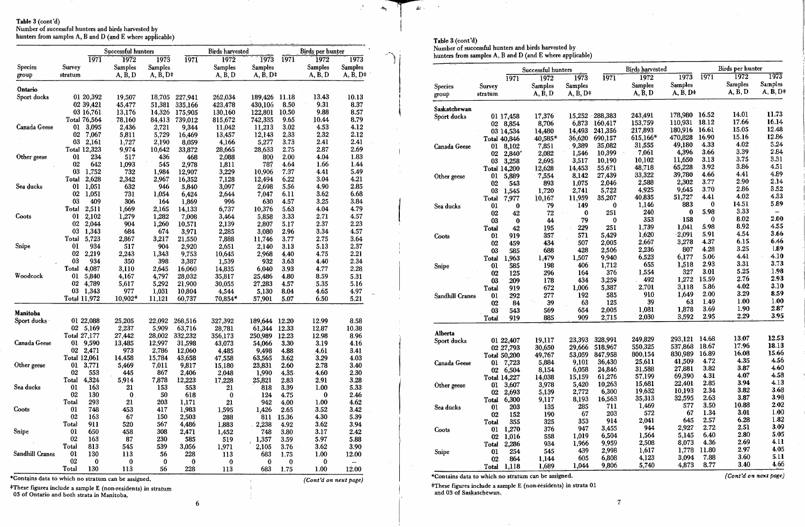Table 3 (cont'd) Number of successful hunters and birds harvested by<br>hunters from samples A, B and D (and E where applicable)

|                 |                |              | Successful hunters |                |          | <b>Birds</b> harvested |                 |                   | Birds per hunter |                |
|-----------------|----------------|--------------|--------------------|----------------|----------|------------------------|-----------------|-------------------|------------------|----------------|
|                 |                | <b>1971</b>  | 1972               | 1973           | 1971     | 1972                   | 1973            | 1971              | 1972             | 1973           |
| Species         | Survey         |              | <b>Samples</b>     | <b>Samples</b> |          | Samples                | <b>Samples</b>  |                   | Samples          | <b>Samples</b> |
| group           | stratum        |              | A, B, D            | $A, B, D^+$    |          | A, B, D                | $A, B, D^{\pm}$ |                   | A, B, D          | $A, B, D^+$    |
| Ontario         |                |              |                    |                |          |                        |                 |                   |                  |                |
| Sport ducks     |                | 01 20,392    | 19,507             | 18,705         | 227,941  | 262,034                | 189,426         | 11.18             | 13.43            | 10.13          |
|                 |                | 02 39,421    | 45,477             | 51,381         | 335,166  | 423,478                | 430,106         | 8.50              | 9.31             | 8.37           |
|                 |                | 03 16,761    | 13,176             | 14,326         | 175,905  | 130,160                | 122,801         | 10.50             | 9.88             | 8.57           |
|                 |                | Total 76,564 | 78,160             | 84,413         | 739,012  | 815,672                | 742,335         | 9.65              | 10.44            | 8.79           |
| Canada Geese    | 01             | 3,095        | 2,436              | 2,721          | 9,344    | 11,042                 | 11,213          | 3.02              | 4.53             | 4.12           |
|                 | 02             | 7,067        | 5,811              | 5,729          | 16,469   | 13,457                 | 12,143          | 2.33              | 2.32             | 2.12           |
|                 | 03             | 2,161        | 1,727              | 2,190          | 8,059    | 4,166                  | 5,277           | 3.73              | 2.41             | 2.41           |
|                 |                | Total 12,323 | 9,974              | 10,642         | 33,872   | 28,665                 | 28,633          | 2.75              | 2.87             | 2.69           |
| Other geese     | 0 <sub>1</sub> | 234          | 517                | 436            | 468      | 2,088                  | 800             | 2,00              | 4.04             | 1.83           |
|                 | 02             | 642          | 1,093              | 545            | 2,978    | 1,811                  | 787             | 4.64              | 1.66             | 1.44           |
|                 | 03             | 1,752        | 732                | 1,984          | 12,907   | 3,229                  | 10,906          | 7.37              | 4.41             | 5.49           |
|                 | Total          | 2,628        | 2,342              | 2,967          | 16,352   | 7,128                  | 12,494          | 6.22              | 3.04             | 4.21           |
| Sea ducks       | 01             | 1,051        | 632                | 946            | 5,840    | 3,097                  | 2,698           | 5.56              | 4.90             | 2.85           |
|                 | 02             | 1,051        | 731                | 1,054          | 6,424    | 2,644                  | 7,047           | 6.11              | 3.62             | 6.68           |
|                 | 03             | 409          | 306                | 164            | 1,869    | 996                    | 630             | 4.57              | 3.25             | 3.84           |
|                 | Total          | 2,511        | 1,669              | 2,165          | 14,133   | 6,737                  | 10,376          | 5.63              | 4.04             | 4.79           |
| Coots           | $\bf{01}$      | 2,102        | 1,279              | 1,282          | 7,008    | 3,464                  | 5,858           | 3.33              | 2.71             | 4.57           |
|                 | 02             | 2,044        | 904                | 1,260          | 10,571   | 2,139                  | 2,807           | 5.17              | 2.37             | 2.23           |
|                 | 03             | 1,343        | 684                | 674            | 3,971    | 2,285                  | 3,080           | 2.96              | 3.34             | 4.57           |
|                 | Total          | 5,723        | 2,867              | 3,217          | 21,550   | 7,888                  | 11,746          | 3.77              | 2.75             | 3.64           |
| Snipe           | <b>01</b>      | 934          | 517                | 904            | 2,920    | 2,651                  | 2,140           | 3.13              | 5.13             | 2.37           |
|                 | 02             | 2,219        | 2,243              | 1,343          | 9,753    | 10,645                 | 2,968           | 4.40              | 4.75             | 2.21           |
|                 | 03             | 934          | 350                | 398            | 3,387    | 1,539                  | 932             | 3.63              | 4.40             | 2.34           |
|                 | Total          | 4,087        | 3,110              | 2,645          | 16,060   | 14,835                 | 6,040           | 3.93              | 4.77             | 2.28           |
| Woodcock        | 0 <sub>1</sub> | 5,840        | 4,167              | 4,797          | 28,032   | 35,817                 | 25,486          | 4.80              | 8.59             | 5.31           |
|                 | 02             | 4,789        | 5,617              | 5,292          | 21,900   | 30,055                 | 27,283          | 4.57              | 5.35             | 5.16           |
|                 | 03             | 1,343        | 977                | 1,031          | 10,804   | 4,544                  | 5,130           | 8.04              | 4.65             | 4.97           |
|                 |                | Total 11,972 | $10,902*$          | 11,121         | 60,737   | 70,854*                | 57,901          | 5.07              | 6.50             | 5.21           |
|                 |                |              |                    |                |          |                        |                 |                   |                  |                |
| Manitoba        |                |              |                    |                |          |                        |                 |                   |                  |                |
| Sport ducks     |                | 01 22,088    | 25,205             | 22,092         | 268,516  | 327,392                | 189,644         | 12.20             | 12.99            | 8.58           |
|                 | 02             | 5,169        | 2,237              | 5,909          | 63,716   | 28,781                 | 61,344          | 12.33             | 12.87            | 10.38          |
|                 |                | Total 27,177 | 27,442             | 28,002         | 332,232  | 356,173                | 250,989         | 12.23             | 12.98            | 8.96           |
| Canada Geese    | 01             | 9,590        | 13,485             | 12,997         | 31,598   | 43,073                 | 54,066          | 3.30              | 3.19             | 4.16           |
|                 | 02             | 2,471        | 973                | 2,786          | 12,060   | 4,485                  | 9,498           | 4.88              | 4.61             | 3.41           |
|                 | Total 12,061   |              | 14,458             | 15,784         | 43,658   | 47,558                 | 63,565          | 3.62              | 3.29             | 4.03           |
| Other geese     | 01             | 3,771        | 5,469              | 7,011          | 9,817    | 15,180                 | 23,831          | 2.60              | 2.78             | 3.40           |
|                 | 02             | 553          | 445                | 867            | 2,406    | 2,048                  | 1,990           | 4.35 <sup>7</sup> | 4.60             | 2.30           |
|                 | Total          | 4,324        | 5,914              | 7,878          | 12,223   | 17,228                 | 25,821          | 2.83              | 2.91             | 3.28           |
| Sea ducks       | 01             | 163          | 21                 | 153            | 553      | 21                     | 818             | 3.39              | 1.00             | 5.33           |
|                 | 02             | 130          | $\bf{0}$           | 50             | 618      | $\bf{0}$               | 124             | 4.75              | 0                | 2.46           |
|                 | Total          | 293          | 21                 | 203            | 1,171    | $\overline{21}$        | 942             | 4.00              | 1.00             | 4.62           |
| Coots           | 01             | 748          | 453                | 417            | 1,983    | 1,595                  | 1,426           | 2.65              | 3.52             | 3.42           |
|                 | 02             | 163          | 67                 | 150            | 2,503    | 288                    | 811             | 15.36             | 4.30             | 5.39           |
|                 | Total          | 911          | 520                | 567            | 4,486    | 1,883                  | 2,238           | 4.92              | 3.62             | 3.94           |
| Snipe           | 01             | 650          | 458                | 308            | 2,471    | 1,452                  | 748             | 3.80              | 3.17             | 2.42           |
|                 | 02             | 163          | 87                 | 230            | 585      | 519                    | 1,357           | 3.59              | 5.97             | 5.88           |
|                 | Total          | 813          | 545                | 539            | 3,056    | 1,971                  | 2,105           | 3.76              | 3.62             | 3.90           |
| Sandhill Cranes | 01             | 130          | 113                | 56             | 228      | 113                    | 683             | 1.75              | 1.00             | 12.00          |
|                 | 02             | 0            | $\bf{0}$           | 0              | $\bf{0}$ | $\bf{0}$               | $\bf{0}$        | 0                 | $\boldsymbol{0}$ | --             |
|                 | Total          | 130          | 113                | 56             | 228      | 113                    | 683             | 1.75              | 1.00             | 12.00          |

#These figures include a sample E (non-residents) in stratum 03 of Ontario and both strata in Manitoba.

 $6\phantom{.}6$ 

Table 3 (cont'd)

 $\mathcal{Q}$  .

 $\overline{\phantom{a}}$ 

 $\cdot \mathbf{c}_p$ 

Number of successful hunters and birds harvested by<br>hunters from samples A, B and D (and E where applicable)

|                 |              |                     | Successful hunters |                |            | <b>Birds</b> harvested |             |          | Birds per hunter |                     |
|-----------------|--------------|---------------------|--------------------|----------------|------------|------------------------|-------------|----------|------------------|---------------------|
|                 |              | 1971                | 1972               | 1973           | 1971       | 1972                   | 1973        | 1971     | 1972             | 1973                |
| <b>Species</b>  | Survey       |                     | Samples            | <b>Samples</b> |            | <b>Samples</b>         | Samples     |          | Samples          | Samples             |
| group           | stratum      |                     | A, B, D            | $A, B, D+$     |            | A, B, D                | $A, B, D^+$ |          | A, B, D          | $A, B, D^{\dagger}$ |
| Saskatchewan    |              |                     |                    |                |            |                        |             |          |                  |                     |
| Sport ducks     |              | 01 17,458           | 17,376             | 15,252         | $-288,383$ | 243,491                | 178,980     | 16.52    | 14.01            | 11.73               |
|                 | $02\,$       | 8,854               | 8,706              | 6,873          | 160,417    | 153,759                | 110,931     | 18.12    | 17.66            | 16.14               |
|                 |              | 03 14,534           | 14,480             | 14,493         | 241,356    | 217,893                | 180,916     | 16.61    | 15.05            | 12.48               |
|                 |              | <b>Total 40,846</b> | $40,585*$          | 36,620         | 690,157    | 615,166*               | 470,828     | 16.90    | 15.16            | 12.86               |
| Canada Geese    | 01           | 8,102               | 7,851              | 9,389          | 35,082     | 31,555                 | 49,180      | 4.33     | 4.02             | 5.24                |
|                 | 02           | 2,840'              | 2,082              | 1,546          | 10,399     | 7,061                  | 4,396       | 3.66     | 3.39             | 2.84                |
|                 | 03           | 3,258               | 2,695              | 3,517          | 10,190     | 10,102                 | 11,650      | 3.13     | 3.75             | 3.31                |
|                 |              | Total 14,200        | 12,628             | 14,453         | 55,671     | 48,718                 | 65,228      | 3.92     | 3.86             | 4.51                |
| Other geese     | $\bf{0}$     | 5,889               | 7,554              | 8,142          | 27,439     | 33,322                 | 39,780      | 4.66     | 4.41             | 4.89                |
|                 | 02           | 543                 | 893                | 1,075          | 2,046      | 2,588                  | 2,302       | 3.77     | 2.90             | 2.14                |
|                 | 03           | 1,545               | 1,720              | 2,741          | 5,722      | 4,925                  | 9,645       | 3.70     | 2.86             | 3.52                |
|                 | Total        | 7,977               | 10,167             | 11,959         | 35,207     | 40,835                 | 51,727      | 4.41     | 4.02             | 4.33                |
| Sea ducks       | $\mathbf{0}$ | $\bf{0}$            | 79                 | 149            | 0          | 1,146                  | 883         | $\bf{0}$ | 14.51            | 5.89                |
|                 | 02           | 42                  | 72                 | $\bf{0}$       | 251        | 240                    | $\bf{0}$    | 5.98     | 3.33             | ÷                   |
|                 | 03           | $\mathbf{0}$        | 44                 | 79             | 0          | 353                    | 158         | $\bf{0}$ | 8.02             | 2.00                |
|                 | Total        | 42                  | 195                | 229            | 251        | 1,739                  | 1,041       | 5.98     | 8.92             | 4.55                |
| Coots           | 01           | 919                 | 357                | 571            | 5,429      | 1,620                  | $-2,091$    | 5.91     | 4.54             | 3.66                |
|                 | 02           | 459                 | 434                | 507            | 2,005      | 2,667                  | 3,278       | 4.37     | 6.15             | 6.46                |
|                 | 03           | 585                 | 688                | 428            | 2,506      | 2,236                  | 807         | 4.28     | 3.25             | 1.89                |
|                 | Total        | 1,963               | 1,479              | 1,507          | 9,940      | 6,523                  | 6,177       | 5.06     | 4.41             | 4.10                |
| Snipe           | 01           | 585                 | 198                | 406            | 1,712      | 655                    | 1,518       | 2.93     | 3.31             | 3.73                |
|                 | 02           | 125                 | 296                | 164            | 376        | 1,554                  | 327         | 3.01     | 5.25             | 1.98                |
|                 | 03           | 209                 | 178                | 434            | 3,259      | 492                    | 1,272       | 15.59    | 2.76             | 2.93                |
|                 | Total        | 919                 | 672                | 1,006          | 5,387      | 2,701                  | 3,118       | 5.86     | 4.02             | 3.10                |
| Sandhill Cranes | 01           | 292                 | 277                | 192            | 585        | 910                    | 1,649       | 2.00     | 3.29             | 8.59                |
|                 | 02           | 84                  | 39                 | 63             | 125        | 39                     | 63          | 1.49     | 1.00             | 1.00                |
|                 | 03           | 543                 | 569                | 654            | 2,005      | 1,081                  | 1,878       | 3.69     | 1.90             | 2.87                |
|                 | Total        | 919                 | 885                | 909            | 2,715      | 2,030                  | 3,592       | 2.95     | 2.29             | 3.95                |
| Alberta         |              |                     |                    |                |            |                        |             |          |                  |                     |
| Sport ducks     |              | 01 22,407           | 19,117             | 23,393         | 328,991    | 249,829                | 293,121     | 14.68    | 13.07            | 12.53               |
|                 |              | 02 27,793           | 30,650             | 29,666         | 518,967    | 550,325                | 537,868     | 18.67    | 17.96            | 18.13               |
|                 |              | <b>Total 50,200</b> | 49,767             | 53,059         | 847,958    | 800,154                | 830,989     | 16.89    | 16.08            | 15.66               |
| Canada Geese    |              | 01 7,723            | 5,884              | 9,101          | 36,430     | 25,611                 | 41,509      | 4.72     | 4.35             | 4.56                |
|                 |              | 02 6,504            | 8,154              | 6,058          | 24,846     | 31,588                 | 27,881      | 3.82     | 3.87             | 4.60                |
|                 |              | <b>Total 14,227</b> | 14,038             | 15,159         | 61,276     | 57,199                 | 69,390      | 4.31     | 4.07             | 4.58                |
| Other geese     |              | 01 3,607            | 3,978              | 5,420          | 10,263     | 15,681                 | 22,401      | 2.85     | 3.94             | 4.13                |
|                 |              | 02 2,693            | 5,139              | 2,772          | 6,300      | 19,632                 | 10,193      | 2.34     | 3.82             | 3.68                |
|                 | Total        | 6,300               | 9,117              | 8,193          | 16,563     | 35,313                 | 32,595      | 2.63     | 3.87             | 3.98                |
| Sea ducks       | 01           | 203                 | 135                | 285            | 711        | 1,469                  | 577         | 3.50     | 10.88            | 2.02                |
|                 | 02           | 152                 | 190                | 67             | 203        | 572                    | 67          | 1.34     | 3.01             | 1.00                |
|                 | Total        | 355                 | 325                | 353            | 914        | 2,041                  | 645         | 2.57     | 6.28             | 1.82                |
| Coots           | 01           | 1,270               | 376                | 947            | 3,455      | 944                    | 2,927       | 2.72     | 2,51             | 3.09                |
|                 | 02           | 1,016               | 558                | 1,019          | 6,504      | 1,564                  | 5,145       | 6.40     | 2.80             | 5.05                |
|                 | Total        | 2,286               | 934                | 1,966          | 9,959      | 2,508                  | 8,073       | 4.36     | 2.69             | 4.11                |
| Snipe           | 01           | 254                 | 545                | 439            | 2,998      | 1,617                  | 1,778       | 11.80    | 2.97             | 4.05                |
|                 | 02           | 864                 | 1,144              | 605            | 6,808      | 4,123                  | 3,094       | 7.88     | 3.60             | 5.11                |
|                 |              | Total 1.118         | 1,689              | 1,044          | 9,806      | 5,740                  | 4,873       | 8.77     | 3.40             | 4.66                |

\*Contains data to which no stratum can be assigned.

#These figures include a sample E (non-residents) in strata 01 and 03 of Saskatchewan.

(Cont'd on next page)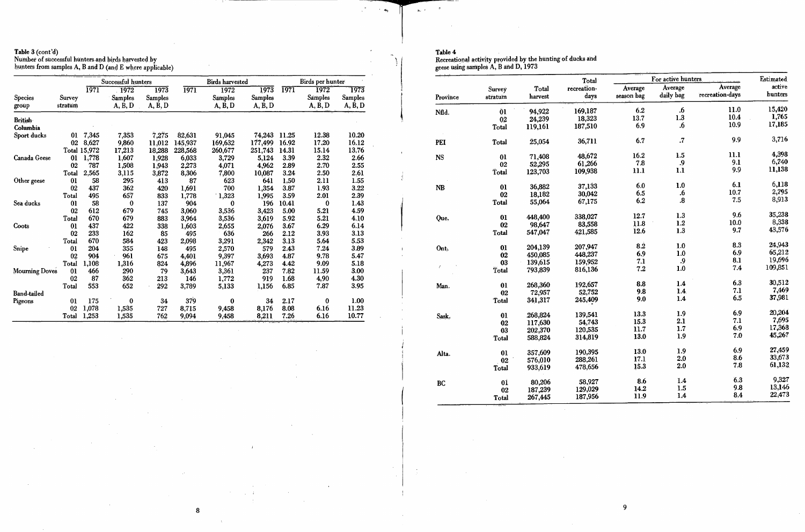Table 3 (cont'd)<br>Number of successful hunters and birds harvested by<br>hunters from samples A, B and D (and E where applicable)

 $\sim 10$ 

|                            |                   |              | Successful hunters                             |                                         |         | <b>Birds harvested</b>            |                                                |       | Birds per hunter           |                                             |
|----------------------------|-------------------|--------------|------------------------------------------------|-----------------------------------------|---------|-----------------------------------|------------------------------------------------|-------|----------------------------|---------------------------------------------|
| <b>Species</b><br>group    | Survey<br>stratum | 1971         | $\overline{1972}$<br><b>Samples</b><br>A, B, D | $\overline{1973}$<br>Samples<br>A, B, D | 1971    | 1972<br><b>Samples</b><br>A, B, D | $\overline{1973}$<br><b>Samples</b><br>A, B, D | 1971  | 1972<br>Samples<br>A, B, D | 1973<br><b>Samples</b><br>$A, \tilde{B}, D$ |
| <b>British</b><br>Columbia |                   |              |                                                |                                         |         |                                   |                                                |       |                            |                                             |
| Sport ducks                | 01                | 7,345        | 7,353                                          | 7,275                                   | 82,631  | 91,045                            | 74,243                                         | 11.25 | 12.38                      | 10.20                                       |
|                            | 02                | 8,627        | 9,860                                          | 11,012                                  | 145,937 | 169,632                           | 177,499                                        | 16.92 | 17.20                      | 16.12                                       |
|                            |                   | Total 15,972 | 17,213                                         | 18,288                                  | 228,568 | 260,677                           | 251,743                                        | 14.31 | 15.14                      | 13.76                                       |
| Canada Geese               | 01                | 1,778        | 1,607                                          | 1,928                                   | 6,033   | 3,729                             | 5,124                                          | 3.39  | 2.32                       | 2.66                                        |
|                            | 02                | 787          | 1,508                                          | 1,943                                   | 2,273   | 4,071                             | 4,962                                          | 2.89  | 2.70                       | 2.55                                        |
|                            | Total             | 2,565        | 3,115                                          | 3,872                                   | 8,306   | 7,800                             | 10,087                                         | 3.24  | 2.50                       | 2.61                                        |
| Other geese                | 0 <sub>1</sub>    | 58           | 295                                            | 413                                     | 87      | 623                               | 641                                            | 1.50  | 2.11                       | 1.55                                        |
|                            | 02                | 437          | 362                                            | 420                                     | 1,691   | 700                               | 1,354                                          | 3.87  | 1.93                       | 3.22                                        |
|                            | Total             | 495          | 657                                            | 833                                     | 1,778   | 1,323                             | 1,995                                          | 3.59  | 2.01                       | 2.39                                        |
| Sea ducks                  | 01                | 58           | $\bf{0}$                                       | 137                                     | 904     | 0                                 | 196                                            | 10.41 | $\bf{0}$                   | 1.43                                        |
|                            | 02                | 612          | 679                                            | 745                                     | 3,060   | 3,536                             | 3,423                                          | 5.00  | 5.21                       | 4.59                                        |
|                            | Total             | 670          | 679                                            | 883                                     | 3,964   | 3,536                             | 3,619                                          | 5.92  | 5.21                       | 4.10                                        |
| Coots                      | 0 <sub>1</sub>    | 437          | 422                                            | 338                                     | 1,603   | 2,655                             | 2,076                                          | 3.67  | 6.29                       | 6.14                                        |
|                            | 02                | 233          | 162                                            | 85                                      | 495     | 636                               | 266                                            | 2.12  | 3.93                       | 3.13                                        |
|                            | Total             | 670          | 584                                            | 423                                     | 2,098   | 3,291                             | 2,342                                          | 3.13  | 5.64                       | 5.53                                        |
| Snipe                      | 01                | 204          | 355                                            | 148                                     | 495     | 2,570                             | 579                                            | 2.43  | 7.24                       | 3.89                                        |
|                            | 02                | 904          | 961                                            | 675                                     | 4,401   | 9,397                             | 3,693                                          | 4.87  | 9.78                       | 5.47                                        |
|                            | Total             | 1,108        | 1,316                                          | 824                                     | 4,896   | 11,967                            | 4,273                                          | 4.42  | 9.09                       | 5.18                                        |
| <b>Mourning Doves</b>      | 01                | 466          | 290                                            | 79                                      | 3,643   | 3,361                             | 237                                            | 7.82  | 11.59                      | 3.00                                        |
|                            | 02                | 87           | 362                                            | 213                                     | 146     | 1,772                             | 919                                            | 1.68  | 4,90                       | 4.30                                        |
|                            | Total             | 553          | 652                                            | 292                                     | 3,789   | 5,133                             | 1,156                                          | 6.85  | 7.87                       | 3.95                                        |
| <b>Band-tailed</b>         |                   |              |                                                |                                         |         |                                   |                                                |       |                            |                                             |
| Pigeons                    | 0 <sub>1</sub>    | 175          | $\bf{0}$                                       | 34                                      | 379     | $\bf{0}$                          | 34                                             | 2.17  | $\bf{0}$                   | 1.00                                        |
|                            | 0 <sub>2</sub>    | 1,078        | 1,535                                          | 727                                     | 8,715   | 9,458                             | 8,176                                          | 8.08  | 6.16                       | 11.23                                       |
|                            | Total             | 1,253        | 1,535                                          | 762                                     | 9,094   | 9,458                             | 8,211                                          | 7.26  | 6.16                       | 10.77                                       |

 $\pm 1$ 

 $\sim 10$ 

 $\sim 10$ 

 $\sim 10^7$ 

 $\boldsymbol{8}$ 

# Table 4

 $\mathbf{a}_k(\epsilon)=-\mathbf{0}$ 

 $\mathcal{L}_{\text{max}}^{(0)}$  , where  $\mathcal{L}_{\text{max}}$ 

 $\epsilon$ 

 $\bar{z}$ 

 $\Delta$ 

 $\sim$ 

 $\frac{1}{2}$ 

Recreational activity provided by the hunting of ducks and<br>geese using samples A, B and D, 1973

|          |                |          | Total       |
|----------|----------------|----------|-------------|
|          | Survey         | Total    | recreation- |
| Province | stratum        | harvest  | days        |
| Nfld.    | Ô1             | 94,922   | 169,187     |
|          | 02             | 24,239   | 18,323      |
|          | Total          | 119,161  | 187,510     |
| PEI      | Total          | 25,054   | 36,711      |
| NS       | 01             | 71,408   | 48,672      |
|          | 02             | 52,295   | 61,266      |
|          | Total          | 123,703  | 109,938     |
| NB       | 01             | 36,882   | 37,133      |
|          | 02             | 18,182   | 30,042      |
|          | Total          | 55,064   | 67,175      |
| Que.     | 0 <sub>1</sub> | 448,400  | 338,027     |
|          | 02             | 98,647   | 83,558      |
|          | Total          | 547,047  | 421,585     |
| Ont.     | 0 <sub>1</sub> | 204,139  | 207,947     |
|          | 02             | 450,085  | 448,237     |
| Í        | 03             | 139,615  | 159,952     |
|          | Total          | 793,839  | 816,136     |
| Man.     | 01             | 268,360  | 192,657     |
|          | 02             | 72,957   | 52,752      |
|          | Total          | 341,317  | 245,409     |
| Sask.    | 01             | .268,824 | 139,541     |
|          | 02             | 117,630  | 54,743      |
|          | 03             | 202,370  | 120,535     |
|          | Total          | 588,824  | 314,819     |
| Alta.    | 01             | 357,609  | 190,395     |
|          | 02             | 576,010  | 288,261     |
|          | Total          | 933,619  | 478,656     |
| BC       | 01             | 80,206   | 58,927      |
|          | 02             | 187,239  | 129,029     |
|          | Total          | 267,445  | 187,956     |

|            | For active hunters |                 | Estimated |
|------------|--------------------|-----------------|-----------|
| Average    | Average            | Average         | active    |
| season bag | daily bag          | recreation-days | hunters   |
| 6.2        | .6                 | 11.0            | 15,420    |
| 13.7       | 1.3                | 10.4            | 1,765     |
| 6.9        | .6                 | 10.9            | 17,185    |
| 6.7        | ${\boldsymbol .7}$ | 9.9             | 3,716     |
| 16.2       | 1.5                | 11.1            | 4,398     |
| 7.8        | .9                 | 9.1             | 6,740     |
| 11.1       | 1.1                | 9.9             | 11,138    |
| 6.0        | 1.0                | 6.1             | 6,118     |
| 6.5        | .6                 | 10.7            | 2,795     |
| 6.2        | 8.                 | 7.5             | 8,913     |
| 12.7       | 1.3                | 9.6             | 35,238    |
| 11.8       | 1.2                | 10.0            | 8,338     |
| 12.6       | 1.3                | 9.7             | 43,576    |
| $\bf{8.2}$ | 1.0                | 8.3             | 24,943    |
| 6.9        | 1.0                | 6.9             | 65,212    |
| 7.1        | .9                 | 8.1             | 19,696    |
| 7.2        | 1.0                | 7.4             | 109,851   |
| 8.8        | 1.4                | 6.3             | 30,512    |
| 9.8        | 1.4                | 7.1             | 7,469     |
| 9.0        | 1.4                | 6.5             | 37,981    |
| 13.3       | 1.9                | 6.9             | 20,204    |
| 15.3       | 2.1                | 7.1             | 7,695     |
| 11.7       | 1.7                | 6.9             | 17,368    |
| 13.0       | 1.9                | 7.0             | 45,267    |
| 13.0       | 1.9                | 6.9             | 27,459    |
| 17.1       | 2.0                | 8.6             | 33,673    |
| 15.3       | 2.0                | 7.8             | 61,132    |
| 8.6        | 1.4                | 6.3             | 9,327     |
| 14.2       | 1.5                | 9.8             | 13,146    |
| 11.9       | 1.4                | 8.4             | 22,473    |